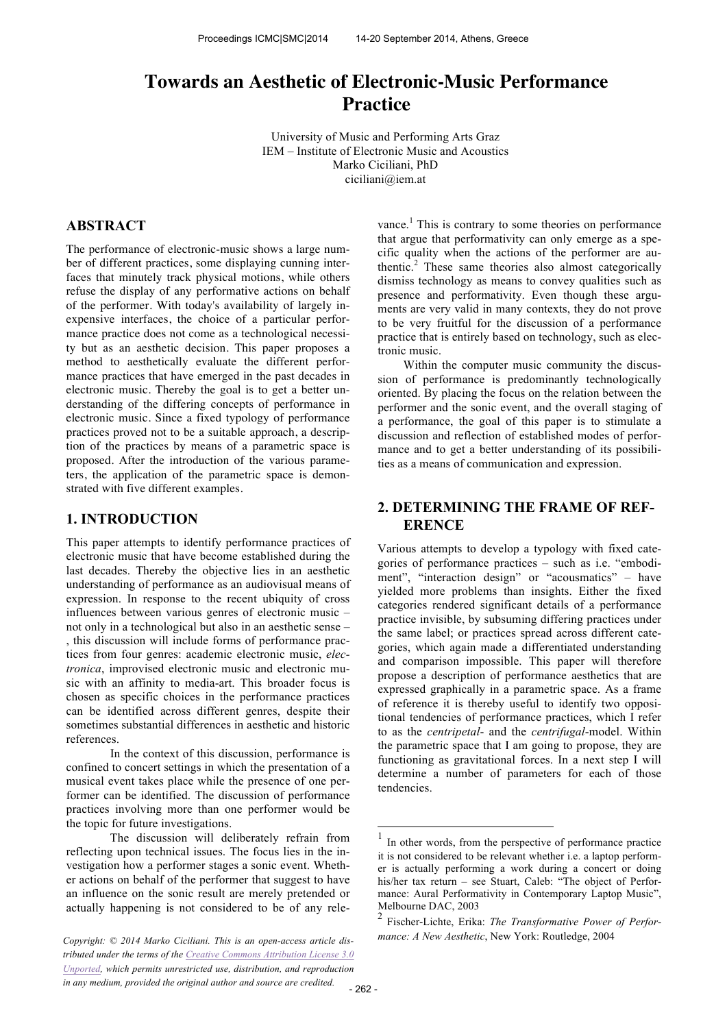# **Towards an Aesthetic of Electronic-Music Performance Practice**

University of Music and Performing Arts Graz IEM – Institute of Electronic Music and Acoustics Marko Ciciliani, PhD ciciliani@iem.at

# **ABSTRACT**

The performance of electronic-music shows a large number of different practices, some displaying cunning interfaces that minutely track physical motions, while others refuse the display of any performative actions on behalf of the performer. With today's availability of largely inexpensive interfaces, the choice of a particular performance practice does not come as a technological necessity but as an aesthetic decision. This paper proposes a method to aesthetically evaluate the different performance practices that have emerged in the past decades in electronic music. Thereby the goal is to get a better understanding of the differing concepts of performance in electronic music. Since a fixed typology of performance practices proved not to be a suitable approach, a description of the practices by means of a parametric space is proposed. After the introduction of the various parameters, the application of the parametric space is demonstrated with five different examples.

# **1. INTRODUCTION**

This paper attempts to identify performance practices of electronic music that have become established during the last decades. Thereby the objective lies in an aesthetic understanding of performance as an audiovisual means of expression. In response to the recent ubiquity of cross influences between various genres of electronic music – not only in a technological but also in an aesthetic sense – , this discussion will include forms of performance practices from four genres: academic electronic music, *electronica*, improvised electronic music and electronic music with an affinity to media-art. This broader focus is chosen as specific choices in the performance practices can be identified across different genres, despite their sometimes substantial differences in aesthetic and historic references.

In the context of this discussion, performance is confined to concert settings in which the presentation of a musical event takes place while the presence of one performer can be identified. The discussion of performance practices involving more than one performer would be the topic for future investigations.

The discussion will deliberately refrain from reflecting upon technical issues. The focus lies in the investigation how a performer stages a sonic event. Whether actions on behalf of the performer that suggest to have an influence on the sonic result are merely pretended or actually happening is not considered to be of any relevance.<sup>1</sup> This is contrary to some theories on performance that argue that performativity can only emerge as a specific quality when the actions of the performer are authentic. 2 These same theories also almost categorically dismiss technology as means to convey qualities such as presence and performativity. Even though these arguments are very valid in many contexts, they do not prove to be very fruitful for the discussion of a performance practice that is entirely based on technology, such as electronic music.

Within the computer music community the discussion of performance is predominantly technologically oriented. By placing the focus on the relation between the performer and the sonic event, and the overall staging of a performance, the goal of this paper is to stimulate a discussion and reflection of established modes of performance and to get a better understanding of its possibilities as a means of communication and expression.

# **2. DETERMINING THE FRAME OF REF-ERENCE**

Various attempts to develop a typology with fixed categories of performance practices – such as i.e. "embodiment", "interaction design" or "acousmatics" – have yielded more problems than insights. Either the fixed categories rendered significant details of a performance practice invisible, by subsuming differing practices under the same label; or practices spread across different categories, which again made a differentiated understanding and comparison impossible. This paper will therefore propose a description of performance aesthetics that are expressed graphically in a parametric space. As a frame of reference it is thereby useful to identify two oppositional tendencies of performance practices, which I refer to as the *centripetal*- and the *centrifugal*-model. Within the parametric space that I am going to propose, they are functioning as gravitational forces. In a next step I will determine a number of parameters for each of those tendencies.

1

*tributed under the terms of the Creative Commons Attribution License 3.0 Unported, which permits unrestricted use, distribution, and reproduction in any medium, provided the original author and source are credited.*

<sup>1</sup> In other words, from the perspective of performance practice it is not considered to be relevant whether i.e. a laptop performer is actually performing a work during a concert or doing his/her tax return – see Stuart, Caleb: "The object of Performance: Aural Performativity in Contemporary Laptop Music", Melbourne DAC, 2003

<sup>2</sup> Fischer-Lichte, Erika: *The Transformative Power of Performance: A New Aesthetic*, New York: Routledge, 2004 *Copyright: © 2014 Marko Ciciliani. This is an open-access article dis-*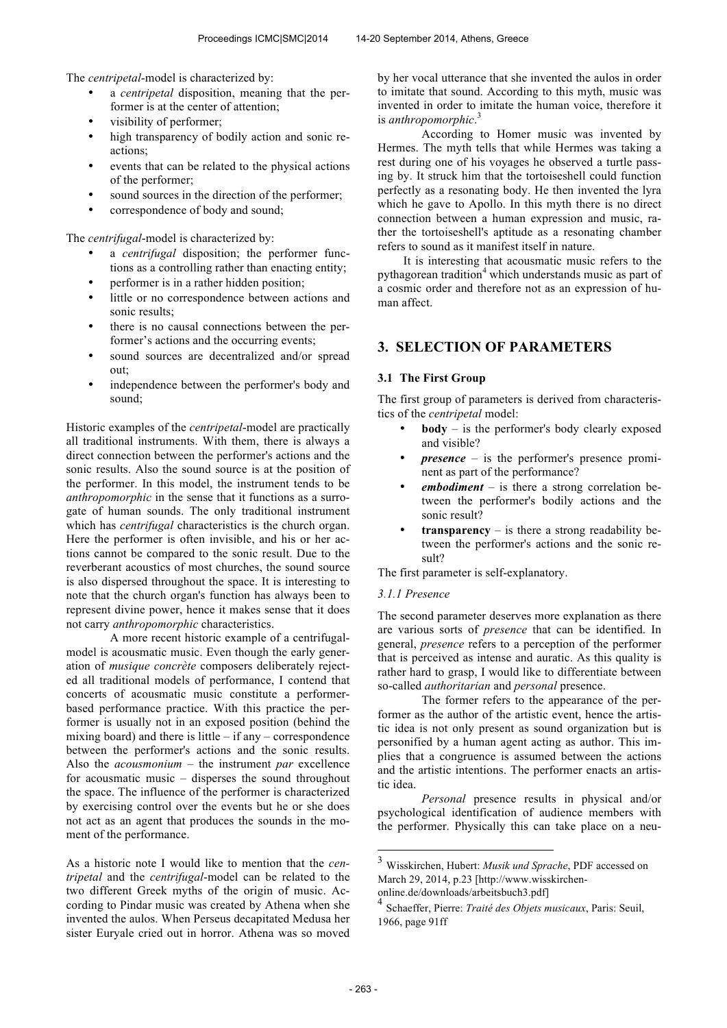The *centripetal*-model is characterized by:

- a *centripetal* disposition, meaning that the performer is at the center of attention;
- visibility of performer;
- high transparency of bodily action and sonic reactions;
- events that can be related to the physical actions of the performer;
- sound sources in the direction of the performer:
- correspondence of body and sound;

The *centrifugal*-model is characterized by:

- a *centrifugal* disposition; the performer functions as a controlling rather than enacting entity;
- performer is in a rather hidden position;
- little or no correspondence between actions and sonic results;
- there is no causal connections between the performer's actions and the occurring events;
- sound sources are decentralized and/or spread out;
- independence between the performer's body and sound;

Historic examples of the *centripetal*-model are practically all traditional instruments. With them, there is always a direct connection between the performer's actions and the sonic results. Also the sound source is at the position of the performer. In this model, the instrument tends to be *anthropomorphic* in the sense that it functions as a surrogate of human sounds. The only traditional instrument which has *centrifugal* characteristics is the church organ. Here the performer is often invisible, and his or her actions cannot be compared to the sonic result. Due to the reverberant acoustics of most churches, the sound source is also dispersed throughout the space. It is interesting to note that the church organ's function has always been to represent divine power, hence it makes sense that it does not carry *anthropomorphic* characteristics.

A more recent historic example of a centrifugalmodel is acousmatic music. Even though the early generation of *musique concrète* composers deliberately rejected all traditional models of performance, I contend that concerts of acousmatic music constitute a performerbased performance practice. With this practice the performer is usually not in an exposed position (behind the mixing board) and there is little  $-$  if any  $-$  correspondence between the performer's actions and the sonic results. Also the *acousmonium* – the instrument *par* excellence for acousmatic music – disperses the sound throughout the space. The influence of the performer is characterized by exercising control over the events but he or she does not act as an agent that produces the sounds in the moment of the performance.

As a historic note I would like to mention that the *centripetal* and the *centrifugal*-model can be related to the two different Greek myths of the origin of music. According to Pindar music was created by Athena when she invented the aulos. When Perseus decapitated Medusa her sister Euryale cried out in horror. Athena was so moved by her vocal utterance that she invented the aulos in order to imitate that sound. According to this myth, music was invented in order to imitate the human voice, therefore it is *anthropomorphic*. 3

According to Homer music was invented by Hermes. The myth tells that while Hermes was taking a rest during one of his voyages he observed a turtle passing by. It struck him that the tortoiseshell could function perfectly as a resonating body. He then invented the lyra which he gave to Apollo. In this myth there is no direct connection between a human expression and music, rather the tortoiseshell's aptitude as a resonating chamber refers to sound as it manifest itself in nature.

It is interesting that acousmatic music refers to the pythagorean tradition<sup>4</sup> which understands music as part of a cosmic order and therefore not as an expression of human affect.

# **3. SELECTION OF PARAMETERS**

#### **3.1 The First Group**

The first group of parameters is derived from characteristics of the *centripetal* model:

- **body** is the performer's body clearly exposed and visible?
- *presence* is the performer's presence prominent as part of the performance?
- *embodiment* is there a strong correlation between the performer's bodily actions and the sonic result?
- **transparency** is there a strong readability between the performer's actions and the sonic result?

The first parameter is self-explanatory.

# *3.1.1 Presence*

The second parameter deserves more explanation as there are various sorts of *presence* that can be identified. In general, *presence* refers to a perception of the performer that is perceived as intense and auratic. As this quality is rather hard to grasp, I would like to differentiate between so-called *authoritarian* and *personal* presence.

The former refers to the appearance of the performer as the author of the artistic event, hence the artistic idea is not only present as sound organization but is personified by a human agent acting as author. This implies that a congruence is assumed between the actions and the artistic intentions. The performer enacts an artistic idea.

*Personal* presence results in physical and/or psychological identification of audience members with the performer. Physically this can take place on a neu-

1

<sup>3</sup> Wisskirchen, Hubert: *Musik und Sprache*, PDF accessed on March 29, 2014, p.23 [http://www.wisskirchenonline.de/downloads/arbeitsbuch3.pdf]

<sup>4</sup> Schaeffer, Pierre: *Traité des Objets musicaux*, Paris: Seuil, 1966, page 91ff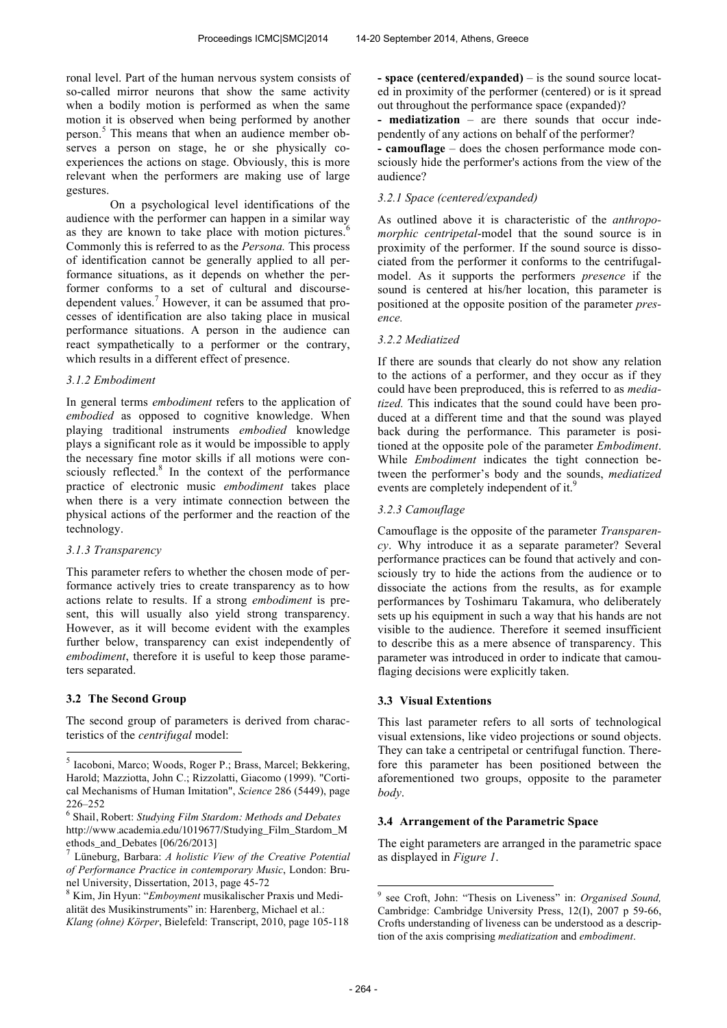ronal level. Part of the human nervous system consists of so-called mirror neurons that show the same activity when a bodily motion is performed as when the same motion it is observed when being performed by another person. 5 This means that when an audience member observes a person on stage, he or she physically coexperiences the actions on stage. Obviously, this is more relevant when the performers are making use of large gestures.

On a psychological level identifications of the audience with the performer can happen in a similar way as they are known to take place with motion pictures. $6$ Commonly this is referred to as the *Persona.* This process of identification cannot be generally applied to all performance situations, as it depends on whether the performer conforms to a set of cultural and discoursedependent values.<sup>7</sup> However, it can be assumed that processes of identification are also taking place in musical performance situations. A person in the audience can react sympathetically to a performer or the contrary, which results in a different effect of presence.

# *3.1.2 Embodiment*

In general terms *embodiment* refers to the application of *embodied* as opposed to cognitive knowledge. When playing traditional instruments *embodied* knowledge plays a significant role as it would be impossible to apply the necessary fine motor skills if all motions were consciously reflected.<sup>8</sup> In the context of the performance practice of electronic music *embodiment* takes place when there is a very intimate connection between the physical actions of the performer and the reaction of the technology.

# *3.1.3 Transparency*

This parameter refers to whether the chosen mode of performance actively tries to create transparency as to how actions relate to results. If a strong *embodiment* is present, this will usually also yield strong transparency. However, as it will become evident with the examples further below, transparency can exist independently of *embodiment*, therefore it is useful to keep those parameters separated.

# **3.2 The Second Group**

-

The second group of parameters is derived from characteristics of the *centrifugal* model:

**- space (centered/expanded)** – is the sound source located in proximity of the performer (centered) or is it spread out throughout the performance space (expanded)?

**- mediatization** – are there sounds that occur independently of any actions on behalf of the performer?

**- camouflage** – does the chosen performance mode consciously hide the performer's actions from the view of the audience?

# *3.2.1 Space (centered/expanded)*

As outlined above it is characteristic of the *anthropomorphic centripetal*-model that the sound source is in proximity of the performer. If the sound source is dissociated from the performer it conforms to the centrifugalmodel. As it supports the performers *presence* if the sound is centered at his/her location, this parameter is positioned at the opposite position of the parameter *presence.*

#### *3.2.2 Mediatized*

If there are sounds that clearly do not show any relation to the actions of a performer, and they occur as if they could have been preproduced, this is referred to as *mediatized.* This indicates that the sound could have been produced at a different time and that the sound was played back during the performance. This parameter is positioned at the opposite pole of the parameter *Embodiment*. While *Embodiment* indicates the tight connection between the performer's body and the sounds, *mediatized* events are completely independent of it.<sup>9</sup>

#### *3.2.3 Camouflage*

Camouflage is the opposite of the parameter *Transparency*. Why introduce it as a separate parameter? Several performance practices can be found that actively and consciously try to hide the actions from the audience or to dissociate the actions from the results, as for example performances by Toshimaru Takamura, who deliberately sets up his equipment in such a way that his hands are not visible to the audience. Therefore it seemed insufficient to describe this as a mere absence of transparency. This parameter was introduced in order to indicate that camouflaging decisions were explicitly taken.

#### **3.3 Visual Extentions**

This last parameter refers to all sorts of technological visual extensions, like video projections or sound objects. They can take a centripetal or centrifugal function. Therefore this parameter has been positioned between the aforementioned two groups, opposite to the parameter *body*.

#### **3.4 Arrangement of the Parametric Space**

The eight parameters are arranged in the parametric space as displayed in *Figure 1*.

<sup>5</sup> Iacoboni, Marco; Woods, Roger P.; Brass, Marcel; Bekkering, Harold; Mazziotta, John C.; Rizzolatti, Giacomo (1999). "Cortical Mechanisms of Human Imitation", *Science* 286 (5449), page 226–252

<sup>6</sup> Shail, Robert: *Studying Film Stardom: Methods and Debates* http://www.academia.edu/1019677/Studying\_Film\_Stardom\_M ethods\_and\_Debates [06/26/2013]<br><sup>7</sup> Lünchurg, Berbare: A holistic l

Lüneburg, Barbara: *A holistic View of the Creative Potential of Performance Practice in contemporary Music*, London: Brunel University, Dissertation, 2013, page 45-72

<sup>8</sup> Kim, Jin Hyun: "*Emboyment* musikalischer Praxis und Medialität des Musikinstruments" in: Harenberg, Michael et al.: *Klang (ohne) Körper*, Bielefeld: Transcript, 2010, page 105-118

 9 see Croft, John: "Thesis on Liveness" in: *Organised Sound,* Cambridge: Cambridge University Press, 12(I), 2007 p 59-66, Crofts understanding of liveness can be understood as a description of the axis comprising *mediatization* and *embodiment*.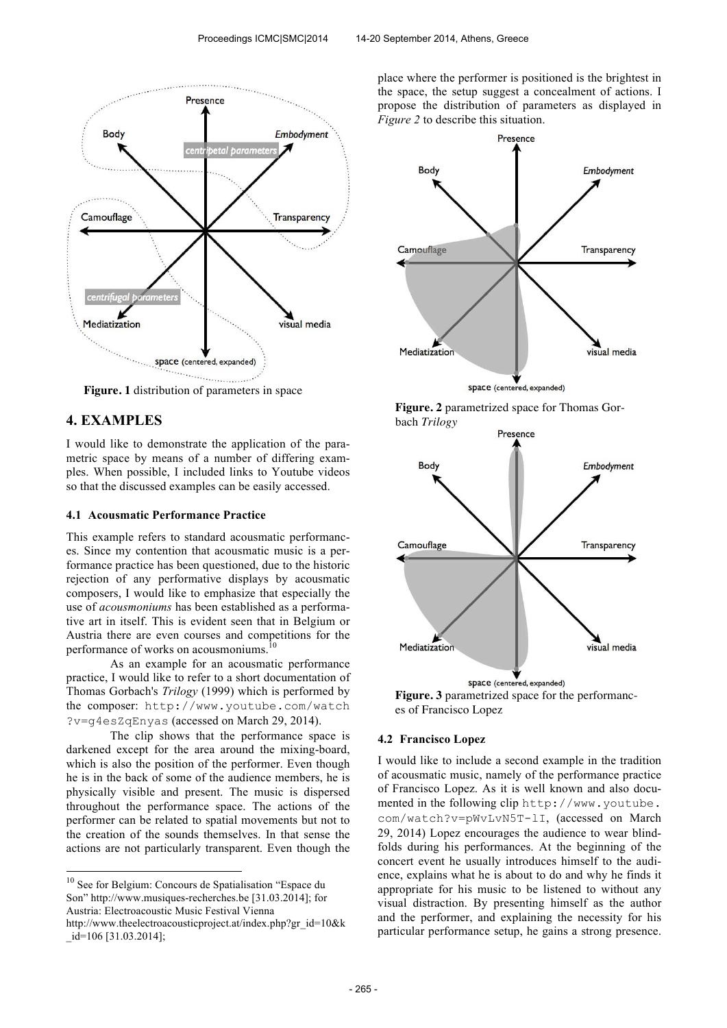

**Figure. 1** distribution of parameters in space

# **4. EXAMPLES**

j

I would like to demonstrate the application of the parametric space by means of a number of differing examples. When possible, I included links to Youtube videos so that the discussed examples can be easily accessed.

# **4.1 Acousmatic Performance Practice**

This example refers to standard acousmatic performances. Since my contention that acousmatic music is a performance practice has been questioned, due to the historic rejection of any performative displays by acousmatic composers, I would like to emphasize that especially the use of *acousmoniums* has been established as a performative art in itself. This is evident seen that in Belgium or Austria there are even courses and competitions for the performance of works on acousmoniums.<sup>10</sup>

As an example for an acousmatic performance practice, I would like to refer to a short documentation of Thomas Gorbach's *Trilogy* (1999) which is performed by the composer: http://www.youtube.com/watch ?v=g4esZqEnyas (accessed on March 29, 2014).

The clip shows that the performance space is darkened except for the area around the mixing-board, which is also the position of the performer. Even though he is in the back of some of the audience members, he is physically visible and present. The music is dispersed throughout the performance space. The actions of the performer can be related to spatial movements but not to the creation of the sounds themselves. In that sense the actions are not particularly transparent. Even though the place where the performer is positioned is the brightest in the space, the setup suggest a concealment of actions. I propose the distribution of parameters as displayed in *Figure 2* to describe this situation.







**Figure. 3** parametrized space for the performances of Francisco Lopez

#### **4.2 Francisco Lopez**

I would like to include a second example in the tradition of acousmatic music, namely of the performance practice of Francisco Lopez. As it is well known and also documented in the following clip http://www.youtube. com/watch?v=pWvLvN5T-lI, (accessed on March 29, 2014) Lopez encourages the audience to wear blindfolds during his performances. At the beginning of the concert event he usually introduces himself to the audience, explains what he is about to do and why he finds it appropriate for his music to be listened to without any visual distraction. By presenting himself as the author and the performer, and explaining the necessity for his particular performance setup, he gains a strong presence.

<sup>&</sup>lt;sup>10</sup> See for Belgium: Concours de Spatialisation "Espace du Son" http://www.musiques-recherches.be [31.03.2014]; for Austria: Electroacoustic Music Festival Vienna http://www.theelectroacousticproject.at/index.php?gr\_id=10&k \_id=106 [31.03.2014];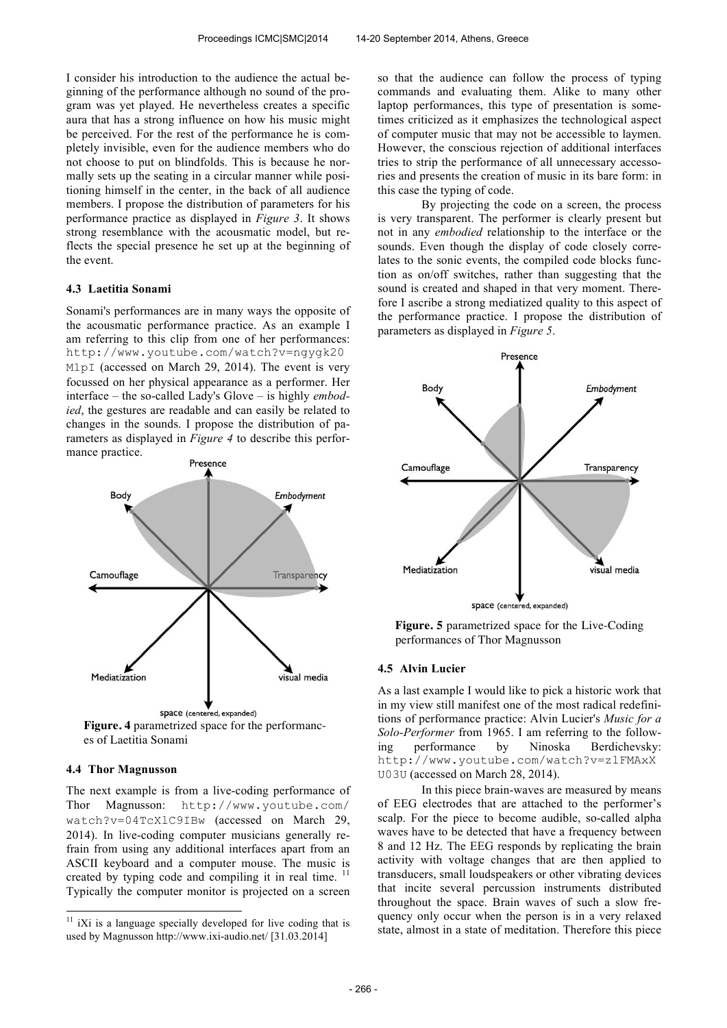I consider his introduction to the audience the actual beginning of the performance although no sound of the program was yet played. He nevertheless creates a specific aura that has a strong influence on how his music might be perceived. For the rest of the performance he is completely invisible, even for the audience members who do not choose to put on blindfolds. This is because he normally sets up the seating in a circular manner while positioning himself in the center, in the back of all audience members. I propose the distribution of parameters for his performance practice as displayed in *Figure 3*. It shows strong resemblance with the acousmatic model, but reflects the special presence he set up at the beginning of the event.

#### **4.3 Laetitia Sonami**

Sonami's performances are in many ways the opposite of the acousmatic performance practice. As an example I am referring to this clip from one of her performances: http://www.youtube.com/watch?v=ngygk20 M1pI (accessed on March 29, 2014). The event is very focussed on her physical appearance as a performer. Her interface – the so-called Lady's Glove – is highly *embodied*, the gestures are readable and can easily be related to changes in the sounds. I propose the distribution of parameters as displayed in *Figure 4* to describe this performance practice.



# es of Laetitia Sonami

# **4.4 Thor Magnusson**

j

The next example is from a live-coding performance of Thor Magnusson: http://www.youtube.com/ watch?v=04TcXlC9IBw (accessed on March 29, 2014). In live-coding computer musicians generally refrain from using any additional interfaces apart from an ASCII keyboard and a computer mouse. The music is created by typing code and compiling it in real time.<sup>11</sup> Typically the computer monitor is projected on a screen so that the audience can follow the process of typing commands and evaluating them. Alike to many other laptop performances, this type of presentation is sometimes criticized as it emphasizes the technological aspect of computer music that may not be accessible to laymen. However, the conscious rejection of additional interfaces tries to strip the performance of all unnecessary accessories and presents the creation of music in its bare form: in this case the typing of code.

By projecting the code on a screen, the process is very transparent. The performer is clearly present but not in any *embodied* relationship to the interface or the sounds. Even though the display of code closely correlates to the sonic events, the compiled code blocks function as on/off switches, rather than suggesting that the sound is created and shaped in that very moment. Therefore I ascribe a strong mediatized quality to this aspect of the performance practice. I propose the distribution of parameters as displayed in *Figure 5*.



**Figure. 5** parametrized space for the Live-Coding performances of Thor Magnusson

#### **4.5 Alvin Lucier**

As a last example I would like to pick a historic work that in my view still manifest one of the most radical redefinitions of performance practice: Alvin Lucier's *Music for a Solo-Performer* from 1965. I am referring to the following performance by Ninoska Berdichevsky: http://www.youtube.com/watch?v=zlFMAxX U03U (accessed on March 28, 2014).

In this piece brain-waves are measured by means of EEG electrodes that are attached to the performer's scalp. For the piece to become audible, so-called alpha waves have to be detected that have a frequency between 8 and 12 Hz. The EEG responds by replicating the brain activity with voltage changes that are then applied to transducers, small loudspeakers or other vibrating devices that incite several percussion instruments distributed throughout the space. Brain waves of such a slow frequency only occur when the person is in a very relaxed state, almost in a state of meditation. Therefore this piece

 $11$  iXi is a language specially developed for live coding that is used by Magnusson http://www.ixi-audio.net/ [31.03.2014]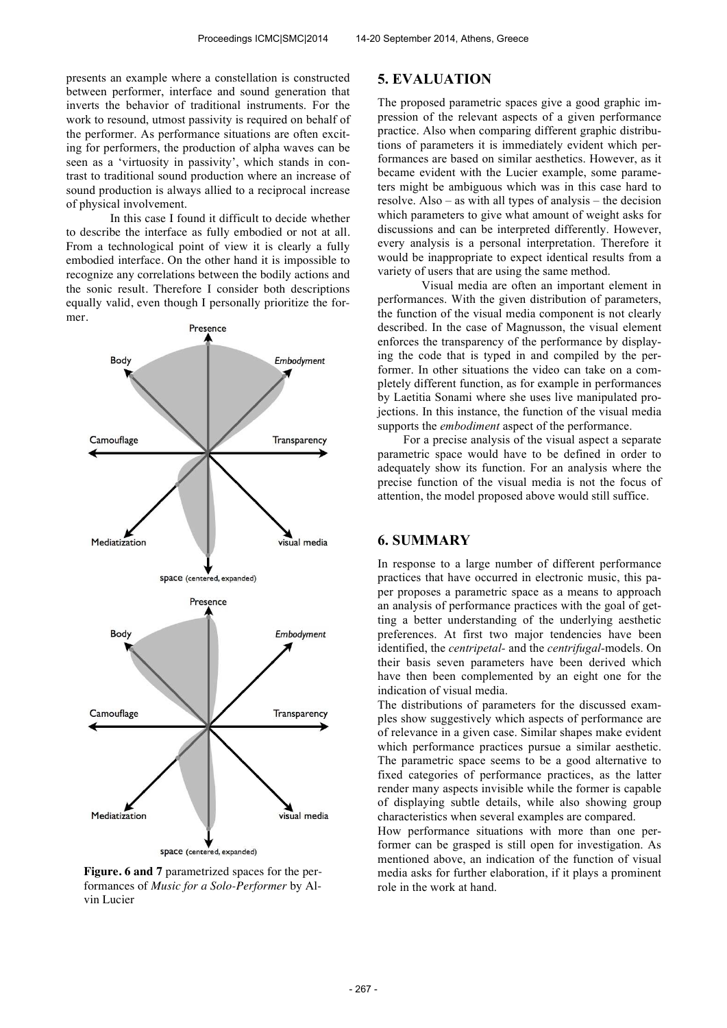presents an example where a constellation is constructed between performer, interface and sound generation that inverts the behavior of traditional instruments. For the work to resound, utmost passivity is required on behalf of the performer. As performance situations are often exciting for performers, the production of alpha waves can be seen as a 'virtuosity in passivity', which stands in contrast to traditional sound production where an increase of sound production is always allied to a reciprocal increase of physical involvement.

In this case I found it difficult to decide whether to describe the interface as fully embodied or not at all. From a technological point of view it is clearly a fully embodied interface. On the other hand it is impossible to recognize any correlations between the bodily actions and the sonic result. Therefore I consider both descriptions equally valid, even though I personally prioritize the former.



**Figure. 6 and 7** parametrized spaces for the performances of *Music for a Solo-Performer* by Alvin Lucier

# **5. EVALUATION**

The proposed parametric spaces give a good graphic impression of the relevant aspects of a given performance practice. Also when comparing different graphic distributions of parameters it is immediately evident which performances are based on similar aesthetics. However, as it became evident with the Lucier example, some parameters might be ambiguous which was in this case hard to resolve. Also – as with all types of analysis – the decision which parameters to give what amount of weight asks for discussions and can be interpreted differently. However, every analysis is a personal interpretation. Therefore it would be inappropriate to expect identical results from a variety of users that are using the same method.

Visual media are often an important element in performances. With the given distribution of parameters, the function of the visual media component is not clearly described. In the case of Magnusson, the visual element enforces the transparency of the performance by displaying the code that is typed in and compiled by the performer. In other situations the video can take on a completely different function, as for example in performances by Laetitia Sonami where she uses live manipulated projections. In this instance, the function of the visual media supports the *embodiment* aspect of the performance.

For a precise analysis of the visual aspect a separate parametric space would have to be defined in order to adequately show its function. For an analysis where the precise function of the visual media is not the focus of attention, the model proposed above would still suffice.

# **6. SUMMARY**

In response to a large number of different performance practices that have occurred in electronic music, this paper proposes a parametric space as a means to approach an analysis of performance practices with the goal of getting a better understanding of the underlying aesthetic preferences. At first two major tendencies have been identified, the *centripetal-* and the *centrifugal-*models. On their basis seven parameters have been derived which have then been complemented by an eight one for the indication of visual media.

The distributions of parameters for the discussed examples show suggestively which aspects of performance are of relevance in a given case. Similar shapes make evident which performance practices pursue a similar aesthetic. The parametric space seems to be a good alternative to fixed categories of performance practices, as the latter render many aspects invisible while the former is capable of displaying subtle details, while also showing group characteristics when several examples are compared.

How performance situations with more than one performer can be grasped is still open for investigation. As mentioned above, an indication of the function of visual media asks for further elaboration, if it plays a prominent role in the work at hand.